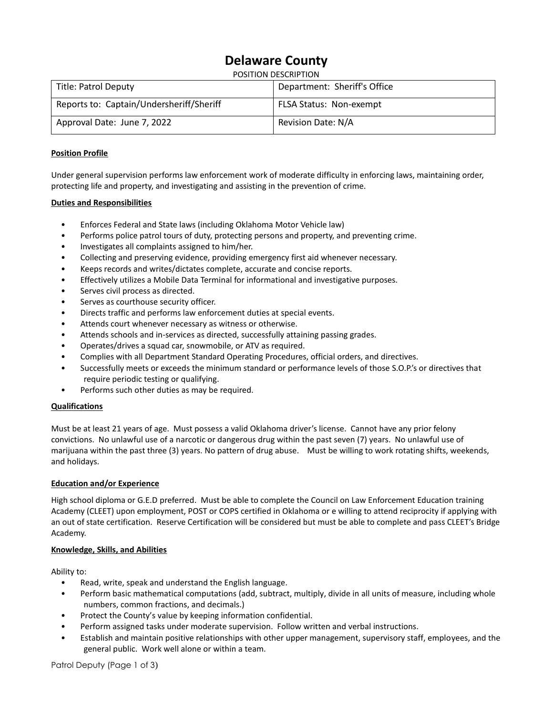# **Delaware County**

POSITION DESCRIPTION

| Title: Patrol Deputy                     | Department: Sheriff's Office   |
|------------------------------------------|--------------------------------|
| Reports to: Captain/Undersheriff/Sheriff | <b>FLSA Status: Non-exempt</b> |
| Approval Date: June 7, 2022              | Revision Date: N/A             |

## **Position Profile**

Under general supervision performs law enforcement work of moderate difficulty in enforcing laws, maintaining order, protecting life and property, and investigating and assisting in the prevention of crime.

### **Duties and Responsibilities**

- Enforces Federal and State laws (including Oklahoma Motor Vehicle law)
- Performs police patrol tours of duty, protecting persons and property, and preventing crime.
- Investigates all complaints assigned to him/her.
- Collecting and preserving evidence, providing emergency first aid whenever necessary.
- Keeps records and writes/dictates complete, accurate and concise reports.
- Effectively utilizes a Mobile Data Terminal for informational and investigative purposes.
- Serves civil process as directed.
- Serves as courthouse security officer.
- Directs traffic and performs law enforcement duties at special events.
- Attends court whenever necessary as witness or otherwise.
- Attends schools and in-services as directed, successfully attaining passing grades.
- Operates/drives a squad car, snowmobile, or ATV as required.
- Complies with all Department Standard Operating Procedures, official orders, and directives.
- Successfully meets or exceeds the minimum standard or performance levels of those S.O.P.'s or directives that require periodic testing or qualifying.
- Performs such other duties as may be required.

#### **Qualifications**

Must be at least 21 years of age. Must possess a valid Oklahoma driver's license. Cannot have any prior felony convictions. No unlawful use of a narcotic or dangerous drug within the past seven (7) years. No unlawful use of marijuana within the past three (3) years. No pattern of drug abuse. Must be willing to work rotating shifts, weekends, and holidays.

#### **Education and/or Experience**

High school diploma or G.E.D preferred. Must be able to complete the Council on Law Enforcement Education training Academy (CLEET) upon employment, POST or COPS certified in Oklahoma or e willing to attend reciprocity if applying with an out of state certification. Reserve Certification will be considered but must be able to complete and pass CLEET's Bridge Academy.

#### **Knowledge, Skills, and Abilities**

Ability to:

- Read, write, speak and understand the English language.
- Perform basic mathematical computations (add, subtract, multiply, divide in all units of measure, including whole numbers, common fractions, and decimals.)
- Protect the County's value by keeping information confidential.
- Perform assigned tasks under moderate supervision. Follow written and verbal instructions.
- Establish and maintain positive relationships with other upper management, supervisory staff, employees, and the general public. Work well alone or within a team.

Patrol Deputy (Page 1 of 3)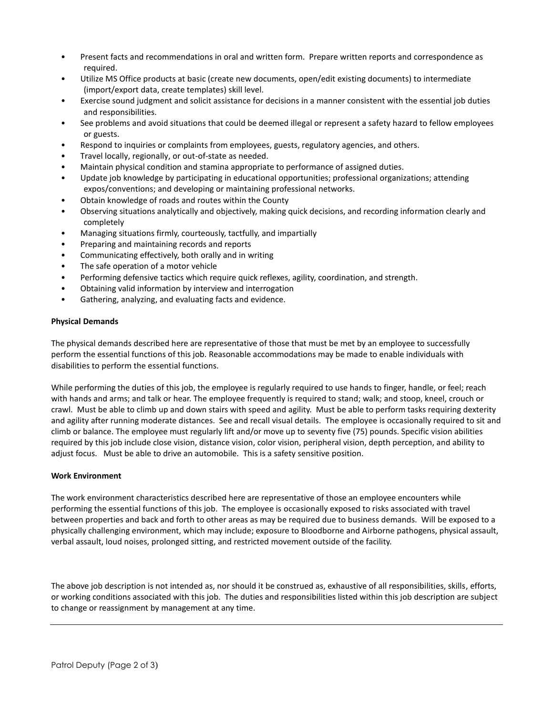- Present facts and recommendations in oral and written form. Prepare written reports and correspondence as required.
- Utilize MS Office products at basic (create new documents, open/edit existing documents) to intermediate (import/export data, create templates) skill level.
- Exercise sound judgment and solicit assistance for decisions in a manner consistent with the essential job duties and responsibilities.
- See problems and avoid situations that could be deemed illegal or represent a safety hazard to fellow employees or guests.
- Respond to inquiries or complaints from employees, guests, regulatory agencies, and others.
- Travel locally, regionally, or out-of-state as needed.
- Maintain physical condition and stamina appropriate to performance of assigned duties.
- Update job knowledge by participating in educational opportunities; professional organizations; attending expos/conventions; and developing or maintaining professional networks.
- Obtain knowledge of roads and routes within the County
- Observing situations analytically and objectively, making quick decisions, and recording information clearly and completely
- Managing situations firmly, courteously, tactfully, and impartially
- Preparing and maintaining records and reports
- Communicating effectively, both orally and in writing
- The safe operation of a motor vehicle
- Performing defensive tactics which require quick reflexes, agility, coordination, and strength.
- Obtaining valid information by interview and interrogation
- Gathering, analyzing, and evaluating facts and evidence.

## **Physical Demands**

The physical demands described here are representative of those that must be met by an employee to successfully perform the essential functions of this job. Reasonable accommodations may be made to enable individuals with disabilities to perform the essential functions.

While performing the duties of this job, the employee is regularly required to use hands to finger, handle, or feel; reach with hands and arms; and talk or hear. The employee frequently is required to stand; walk; and stoop, kneel, crouch or crawl. Must be able to climb up and down stairs with speed and agility. Must be able to perform tasks requiring dexterity and agility after running moderate distances. See and recall visual details. The employee is occasionally required to sit and climb or balance. The employee must regularly lift and/or move up to seventy five (75) pounds. Specific vision abilities required by this job include close vision, distance vision, color vision, peripheral vision, depth perception, and ability to adjust focus. Must be able to drive an automobile. This is a safety sensitive position.

## **Work Environment**

The work environment characteristics described here are representative of those an employee encounters while performing the essential functions of this job. The employee is occasionally exposed to risks associated with travel between properties and back and forth to other areas as may be required due to business demands. Will be exposed to a physically challenging environment, which may include; exposure to Bloodborne and Airborne pathogens, physical assault, verbal assault, loud noises, prolonged sitting, and restricted movement outside of the facility.

The above job description is not intended as, nor should it be construed as, exhaustive of all responsibilities, skills, efforts, or working conditions associated with this job. The duties and responsibilities listed within this job description are subject to change or reassignment by management at any time.